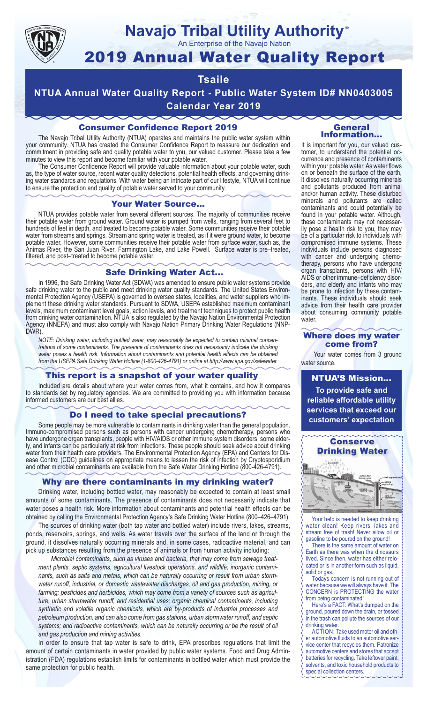

#### **Navajo Tribal Utility Authority** ®

An Enterprise of the Navajo Nation

# 2019 Annual Water Quality Report

## **Tsaile**

**NTUA Annual Water Quality Report - Public Water System ID# NN0403005 Calendar Year 2019**

#### Consumer Confidence Report 2019

The Navajo Tribal Utility Authority (NTUA) operates and maintains the public water system within your community. NTUA has created the Consumer Confidence Report to reassure our dedication and commitment in providing safe and quality potable water to you, our valued customer. Please take a few minutes to view this report and become familiar with your potable water.

The Consumer Confidence Report will provide valuable information about your potable water, such as, the type of water source, recent water quality detections, potential health effects, and governing drinking water standards and regulations. With water being an intricate part of our lifestyle, NTUA will continue to ensure the protection and quality of potable water served to your community.

#### Your Water Source…

NTUA provides potable water from several different sources. The majority of communities receive their potable water from ground water. Ground water is pumped from wells, ranging from several feet to hundreds of feet in depth, and treated to become potable water. Some communities receive their potable water from streams and springs. Stream and spring water is treated, as if it were ground water, to become potable water. However, some communities receive their potable water from surface water, such as, the Animas River, the San Juan River, Farmington Lake, and Lake Powell. Surface water is pre–treated, filtered, and post–treated to become potable water.

#### Safe Drinking Water Act…

In 1996, the Safe Drinking Water Act (SDWA) was amended to ensure public water systems provide safe drinking water to the public and meet drinking water quality standards. The United States Environmental Protection Agency (USEPA) is governed to oversee states, localities, and water suppliers who implement these drinking water standards. Pursuant to SDWA, USEPA established maximum contaminant levels, maximum contaminant level goals, action levels, and treatment techniques to protect public health from drinking water contamination. NTUA is also regulated by the Navajo Nation Environmental Protection Agency (NNEPA) and must also comply with Navajo Nation Primary Drinking Water Regulations (NNP-DWR)

*NOTE: Drinking water, including bottled water, may reasonably be expected to contain minimal concentrations of some contaminants. The presence of contaminants does not necessarily indicate the drinking water poses a health risk. Information about contaminants and potential health effects can be obtained from the USEPA Safe Drinking Water Hotline (1-800-426-4791) or online at http://www.epa.gov/safewater.*

#### This report is a snapshot of your water quality

Included are details about where your water comes from, what it contains, and how it compares to standards set by regulatory agencies. We are committed to providing you with information because informed customers are our best allies.

#### Do I need to take special precautions?

Some people may be more vulnerable to contaminants in drinking water than the general population. Immuno-compromised persons such as persons with cancer undergoing chemotherapy, persons who have undergone organ transplants, people with HIV/AIDS or other immune system disorders, some elderly, and infants can be particularly at risk from infections. These people should seek advice about drinking water from their health care providers. The Environmental Protection Agency (EPA) and Centers for Disease Control (CDC) guidelines on appropriate means to lessen the risk of infection by Cryptosporidium and other microbial contaminants are available from the Safe Water Drinking Hotline (800-426-4791).

#### Why are there contaminants in my drinking water?

Drinking water, including bottled water, may reasonably be expected to contain at least small amounts of some contaminants. The presence of contaminants does not necessarily indicate that water poses a health risk. More information about contaminants and potential health effects can be obtained by calling the Environmental Protection Agency's Safe Drinking Water Hotline (800–426–4791).

The sources of drinking water (both tap water and bottled water) include rivers, lakes, streams, ponds, reservoirs, springs, and wells. As water travels over the surface of the land or through the ground, it dissolves naturally occurring minerals and, in some cases, radioactive material, and can pick up substances resulting from the presence of animals or from human activity including:

*Microbial contaminants, such as viruses and bacteria, that may come from sewage treatment plants, septic systems, agricultural livestock operations, and wildlife; inorganic contaminants, such as salts and metals, which can be naturally occurring or result from urban stormwater runoff, industrial, or domestic wastewater discharges, oil and gas production, mining, or farming; pesticides and herbicides, which may come from a variety of sources such as agriculture, urban stormwater runoff, and residential uses; organic chemical contaminants, including synthetic and volatile organic chemicals, which are by-products of industrial processes and petroleum production, and can also come from gas stations, urban stormwater runoff, and septic systems; and radioactive contaminants, which can be naturally occurring or be the result of oil and gas production and mining activities.*

In order to ensure that tap water is safe to drink, EPA prescribes regulations that limit the amount of certain contaminants in water provided by public water systems. Food and Drug Administration (FDA) regulations establish limits for contaminants in bottled water which must provide the same protection for public health.

#### General Information…

It is important for you, our valued customer, to understand the potential occurrence and presence of contaminants within your potable water. As water flows on or beneath the surface of the earth, it dissolves naturally occurring minerals and pollutants produced from animal and/or human activity. These disturbed minerals and pollutants are called contaminants and could potentially be found in your potable water. Although, these contaminants may not necessarily pose a health risk to you, they may be of a particular risk to individuals with compromised immune systems. These individuals include persons diagnosed with cancer and undergoing chemo-<br>therapy, persons who have undergone organ transplants, persons with HIV/ AIDS or other immune–deficiency disor- ders, and elderly and infants who may be prone to infection by these contam- inants. These individuals should seek advice from their health care provider about consuming community potable water.

#### Where does my water come from?

Your water comes from 3 ground water source.

NTUA'S Mission... **To provide safe and reliable affordable utility services that exceed our customers' expectation**



Your help is needed to keep drinking water clean! Keep rivers, lakes and stream free of trash! Never allow oil or gasoline to be poured on the ground!

There is the same amount of water on Earth as there was when the dinosaurs lived. Since then, water has either relocated or is in another form such as liquid, solid or gas.

Todays concern is not running out of water because we will always have it. The CONCERN is PROTECTING the water from being contaminated!

Here's a FACT: What's dumped on the ground, poured down the drain, or tossed in the trash can pollute the sources of our drinking water.

ACTION: Take used motor oil and other automotive fluids to an automotive service center that recycles them. Patronize automotive centers and stores that accept batteries for recycling. Take leftover paint, solvents, and toxic household products to special collection centers.